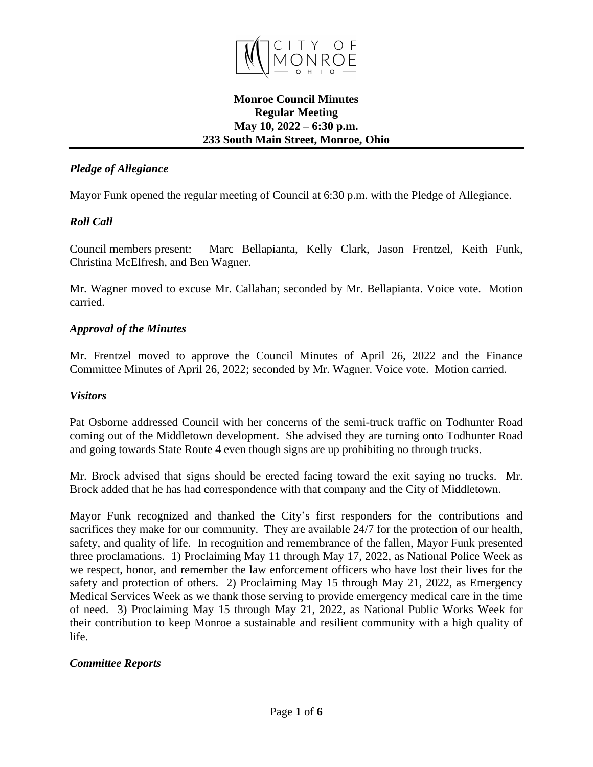

#### **Monroe Council Minutes Regular Meeting May 10, 2022 – 6:30 p.m. 233 South Main Street, Monroe, Ohio**

# *Pledge of Allegiance*

Mayor Funk opened the regular meeting of Council at 6:30 p.m. with the Pledge of Allegiance.

# *Roll Call*

Council members present: Marc Bellapianta, Kelly Clark, Jason Frentzel, Keith Funk, Christina McElfresh, and Ben Wagner.

Mr. Wagner moved to excuse Mr. Callahan; seconded by Mr. Bellapianta. Voice vote. Motion carried.

# *Approval of the Minutes*

Mr. Frentzel moved to approve the Council Minutes of April 26, 2022 and the Finance Committee Minutes of April 26, 2022; seconded by Mr. Wagner. Voice vote. Motion carried.

# *Visitors*

Pat Osborne addressed Council with her concerns of the semi-truck traffic on Todhunter Road coming out of the Middletown development. She advised they are turning onto Todhunter Road and going towards State Route 4 even though signs are up prohibiting no through trucks.

Mr. Brock advised that signs should be erected facing toward the exit saying no trucks. Mr. Brock added that he has had correspondence with that company and the City of Middletown.

Mayor Funk recognized and thanked the City's first responders for the contributions and sacrifices they make for our community. They are available 24/7 for the protection of our health, safety, and quality of life. In recognition and remembrance of the fallen, Mayor Funk presented three proclamations. 1) Proclaiming May 11 through May 17, 2022, as National Police Week as we respect, honor, and remember the law enforcement officers who have lost their lives for the safety and protection of others. 2) Proclaiming May 15 through May 21, 2022, as Emergency Medical Services Week as we thank those serving to provide emergency medical care in the time of need. 3) Proclaiming May 15 through May 21, 2022, as National Public Works Week for their contribution to keep Monroe a sustainable and resilient community with a high quality of life.

# *Committee Reports*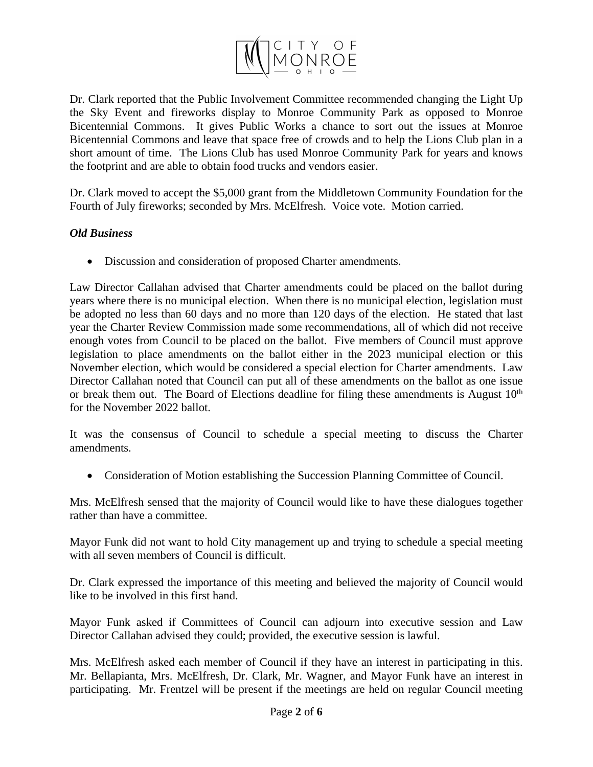

Dr. Clark reported that the Public Involvement Committee recommended changing the Light Up the Sky Event and fireworks display to Monroe Community Park as opposed to Monroe Bicentennial Commons. It gives Public Works a chance to sort out the issues at Monroe Bicentennial Commons and leave that space free of crowds and to help the Lions Club plan in a short amount of time. The Lions Club has used Monroe Community Park for years and knows the footprint and are able to obtain food trucks and vendors easier.

Dr. Clark moved to accept the \$5,000 grant from the Middletown Community Foundation for the Fourth of July fireworks; seconded by Mrs. McElfresh. Voice vote. Motion carried.

#### *Old Business*

Discussion and consideration of proposed Charter amendments.

Law Director Callahan advised that Charter amendments could be placed on the ballot during years where there is no municipal election. When there is no municipal election, legislation must be adopted no less than 60 days and no more than 120 days of the election. He stated that last year the Charter Review Commission made some recommendations, all of which did not receive enough votes from Council to be placed on the ballot. Five members of Council must approve legislation to place amendments on the ballot either in the 2023 municipal election or this November election, which would be considered a special election for Charter amendments. Law Director Callahan noted that Council can put all of these amendments on the ballot as one issue or break them out. The Board of Elections deadline for filing these amendments is August 10<sup>th</sup> for the November 2022 ballot.

It was the consensus of Council to schedule a special meeting to discuss the Charter amendments.

Consideration of Motion establishing the Succession Planning Committee of Council.

Mrs. McElfresh sensed that the majority of Council would like to have these dialogues together rather than have a committee.

Mayor Funk did not want to hold City management up and trying to schedule a special meeting with all seven members of Council is difficult.

Dr. Clark expressed the importance of this meeting and believed the majority of Council would like to be involved in this first hand.

Mayor Funk asked if Committees of Council can adjourn into executive session and Law Director Callahan advised they could; provided, the executive session is lawful.

Mrs. McElfresh asked each member of Council if they have an interest in participating in this. Mr. Bellapianta, Mrs. McElfresh, Dr. Clark, Mr. Wagner, and Mayor Funk have an interest in participating. Mr. Frentzel will be present if the meetings are held on regular Council meeting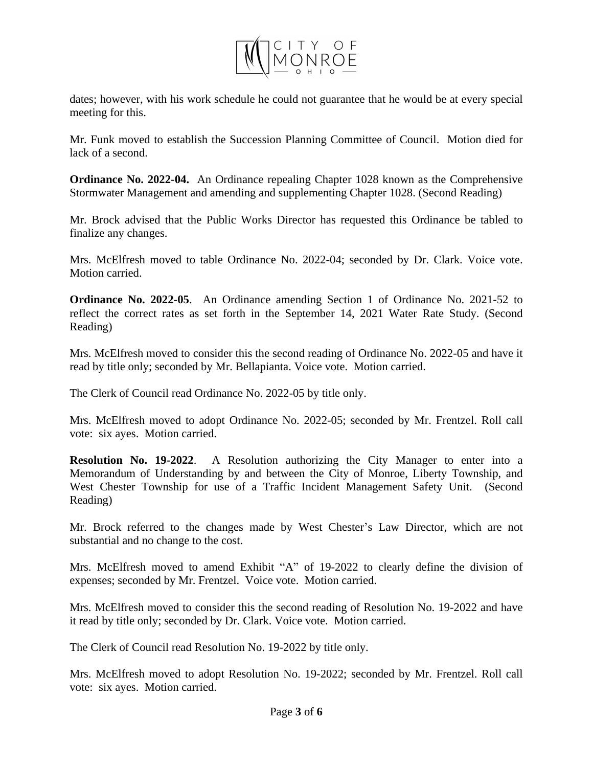

dates; however, with his work schedule he could not guarantee that he would be at every special meeting for this.

Mr. Funk moved to establish the Succession Planning Committee of Council. Motion died for lack of a second.

**Ordinance No. 2022-04.** An Ordinance repealing Chapter 1028 known as the Comprehensive Stormwater Management and amending and supplementing Chapter 1028. (Second Reading)

Mr. Brock advised that the Public Works Director has requested this Ordinance be tabled to finalize any changes.

Mrs. McElfresh moved to table Ordinance No. 2022-04; seconded by Dr. Clark. Voice vote. Motion carried.

**Ordinance No. 2022-05**. An Ordinance amending Section 1 of Ordinance No. 2021-52 to reflect the correct rates as set forth in the September 14, 2021 Water Rate Study. (Second Reading)

Mrs. McElfresh moved to consider this the second reading of Ordinance No. 2022-05 and have it read by title only; seconded by Mr. Bellapianta. Voice vote. Motion carried.

The Clerk of Council read Ordinance No. 2022-05 by title only.

Mrs. McElfresh moved to adopt Ordinance No. 2022-05; seconded by Mr. Frentzel. Roll call vote: six ayes. Motion carried.

**Resolution No. 19-2022**. A Resolution authorizing the City Manager to enter into a Memorandum of Understanding by and between the City of Monroe, Liberty Township, and West Chester Township for use of a Traffic Incident Management Safety Unit. (Second Reading)

Mr. Brock referred to the changes made by West Chester's Law Director, which are not substantial and no change to the cost.

Mrs. McElfresh moved to amend Exhibit "A" of 19-2022 to clearly define the division of expenses; seconded by Mr. Frentzel. Voice vote. Motion carried.

Mrs. McElfresh moved to consider this the second reading of Resolution No. 19-2022 and have it read by title only; seconded by Dr. Clark. Voice vote. Motion carried.

The Clerk of Council read Resolution No. 19-2022 by title only.

Mrs. McElfresh moved to adopt Resolution No. 19-2022; seconded by Mr. Frentzel. Roll call vote: six ayes. Motion carried.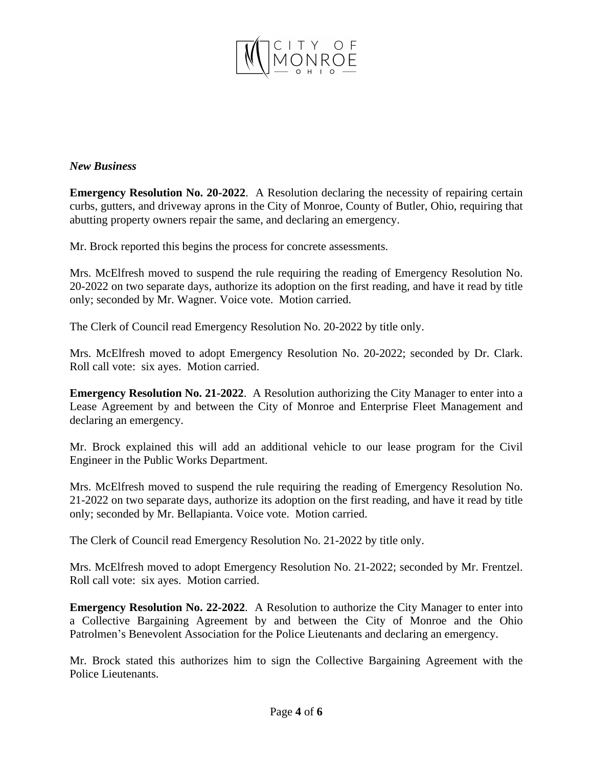

#### *New Business*

**Emergency Resolution No. 20-2022**. A Resolution declaring the necessity of repairing certain curbs, gutters, and driveway aprons in the City of Monroe, County of Butler, Ohio, requiring that abutting property owners repair the same, and declaring an emergency.

Mr. Brock reported this begins the process for concrete assessments.

Mrs. McElfresh moved to suspend the rule requiring the reading of Emergency Resolution No. 20-2022 on two separate days, authorize its adoption on the first reading, and have it read by title only; seconded by Mr. Wagner. Voice vote. Motion carried.

The Clerk of Council read Emergency Resolution No. 20-2022 by title only.

Mrs. McElfresh moved to adopt Emergency Resolution No. 20-2022; seconded by Dr. Clark. Roll call vote: six ayes. Motion carried.

**Emergency Resolution No. 21-2022**. A Resolution authorizing the City Manager to enter into a Lease Agreement by and between the City of Monroe and Enterprise Fleet Management and declaring an emergency.

Mr. Brock explained this will add an additional vehicle to our lease program for the Civil Engineer in the Public Works Department.

Mrs. McElfresh moved to suspend the rule requiring the reading of Emergency Resolution No. 21-2022 on two separate days, authorize its adoption on the first reading, and have it read by title only; seconded by Mr. Bellapianta. Voice vote. Motion carried.

The Clerk of Council read Emergency Resolution No. 21-2022 by title only.

Mrs. McElfresh moved to adopt Emergency Resolution No. 21-2022; seconded by Mr. Frentzel. Roll call vote: six ayes. Motion carried.

**Emergency Resolution No. 22-2022**. A Resolution to authorize the City Manager to enter into a Collective Bargaining Agreement by and between the City of Monroe and the Ohio Patrolmen's Benevolent Association for the Police Lieutenants and declaring an emergency.

Mr. Brock stated this authorizes him to sign the Collective Bargaining Agreement with the Police Lieutenants.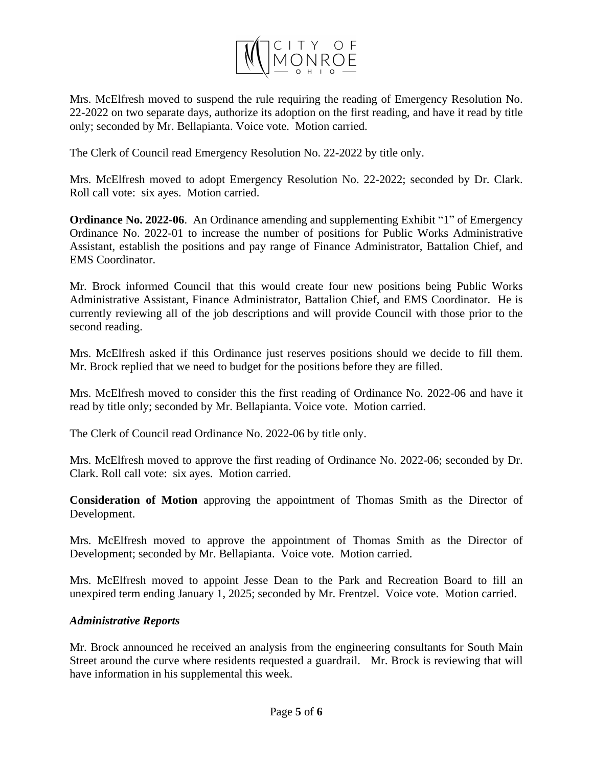

Mrs. McElfresh moved to suspend the rule requiring the reading of Emergency Resolution No. 22-2022 on two separate days, authorize its adoption on the first reading, and have it read by title only; seconded by Mr. Bellapianta. Voice vote. Motion carried.

The Clerk of Council read Emergency Resolution No. 22-2022 by title only.

Mrs. McElfresh moved to adopt Emergency Resolution No. 22-2022; seconded by Dr. Clark. Roll call vote: six ayes. Motion carried.

**Ordinance No. 2022-06**. An Ordinance amending and supplementing Exhibit "1" of Emergency Ordinance No. 2022-01 to increase the number of positions for Public Works Administrative Assistant, establish the positions and pay range of Finance Administrator, Battalion Chief, and EMS Coordinator.

Mr. Brock informed Council that this would create four new positions being Public Works Administrative Assistant, Finance Administrator, Battalion Chief, and EMS Coordinator. He is currently reviewing all of the job descriptions and will provide Council with those prior to the second reading.

Mrs. McElfresh asked if this Ordinance just reserves positions should we decide to fill them. Mr. Brock replied that we need to budget for the positions before they are filled.

Mrs. McElfresh moved to consider this the first reading of Ordinance No. 2022-06 and have it read by title only; seconded by Mr. Bellapianta. Voice vote. Motion carried.

The Clerk of Council read Ordinance No. 2022-06 by title only.

Mrs. McElfresh moved to approve the first reading of Ordinance No. 2022-06; seconded by Dr. Clark. Roll call vote: six ayes. Motion carried.

**Consideration of Motion** approving the appointment of Thomas Smith as the Director of Development.

Mrs. McElfresh moved to approve the appointment of Thomas Smith as the Director of Development; seconded by Mr. Bellapianta. Voice vote. Motion carried.

Mrs. McElfresh moved to appoint Jesse Dean to the Park and Recreation Board to fill an unexpired term ending January 1, 2025; seconded by Mr. Frentzel. Voice vote. Motion carried.

# *Administrative Reports*

Mr. Brock announced he received an analysis from the engineering consultants for South Main Street around the curve where residents requested a guardrail. Mr. Brock is reviewing that will have information in his supplemental this week.